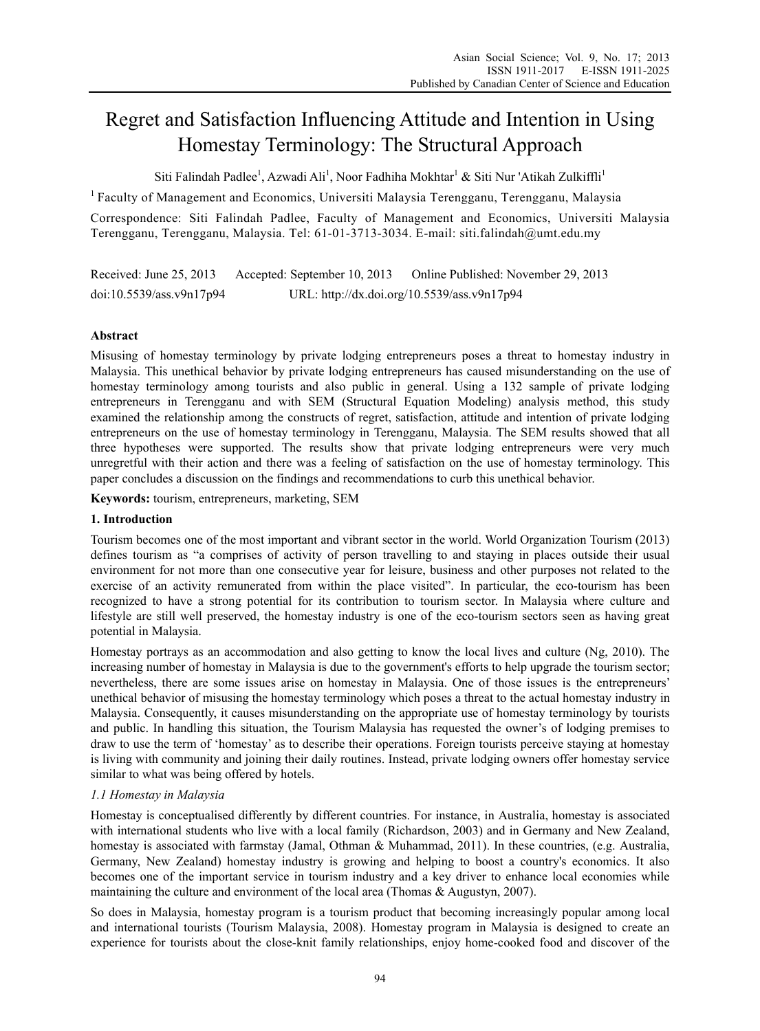# Regret and Satisfaction Influencing Attitude and Intention in Using Homestay Terminology: The Structural Approach

Siti Falindah Padlee<sup>1</sup>, Azwadi Ali<sup>1</sup>, Noor Fadhiha Mokhtar<sup>1</sup> & Siti Nur 'Atikah Zulkiffli<sup>1</sup>

<sup>1</sup> Faculty of Management and Economics, Universiti Malaysia Terengganu, Terengganu, Malaysia

Correspondence: Siti Falindah Padlee, Faculty of Management and Economics, Universiti Malaysia Terengganu, Terengganu, Malaysia. Tel: 61-01-3713-3034. E-mail: siti.falindah@umt.edu.my

Received: June 25, 2013 Accepted: September 10, 2013 Online Published: November 29, 2013 doi:10.5539/ass.v9n17p94 URL: http://dx.doi.org/10.5539/ass.v9n17p94

# **Abstract**

Misusing of homestay terminology by private lodging entrepreneurs poses a threat to homestay industry in Malaysia. This unethical behavior by private lodging entrepreneurs has caused misunderstanding on the use of homestay terminology among tourists and also public in general. Using a 132 sample of private lodging entrepreneurs in Terengganu and with SEM (Structural Equation Modeling) analysis method, this study examined the relationship among the constructs of regret, satisfaction, attitude and intention of private lodging entrepreneurs on the use of homestay terminology in Terengganu, Malaysia. The SEM results showed that all three hypotheses were supported. The results show that private lodging entrepreneurs were very much unregretful with their action and there was a feeling of satisfaction on the use of homestay terminology. This paper concludes a discussion on the findings and recommendations to curb this unethical behavior.

**Keywords:** tourism, entrepreneurs, marketing, SEM

# **1. Introduction**

Tourism becomes one of the most important and vibrant sector in the world. World Organization Tourism (2013) defines tourism as "a comprises of activity of person travelling to and staying in places outside their usual environment for not more than one consecutive year for leisure, business and other purposes not related to the exercise of an activity remunerated from within the place visited". In particular, the eco-tourism has been recognized to have a strong potential for its contribution to tourism sector. In Malaysia where culture and lifestyle are still well preserved, the homestay industry is one of the eco-tourism sectors seen as having great potential in Malaysia.

Homestay portrays as an accommodation and also getting to know the local lives and culture (Ng, 2010). The increasing number of homestay in Malaysia is due to the government's efforts to help upgrade the tourism sector; nevertheless, there are some issues arise on homestay in Malaysia. One of those issues is the entrepreneurs' unethical behavior of misusing the homestay terminology which poses a threat to the actual homestay industry in Malaysia. Consequently, it causes misunderstanding on the appropriate use of homestay terminology by tourists and public. In handling this situation, the Tourism Malaysia has requested the owner's of lodging premises to draw to use the term of 'homestay' as to describe their operations. Foreign tourists perceive staying at homestay is living with community and joining their daily routines. Instead, private lodging owners offer homestay service similar to what was being offered by hotels.

# *1.1 Homestay in Malaysia*

Homestay is conceptualised differently by different countries. For instance, in Australia, homestay is associated with international students who live with a local family (Richardson, 2003) and in Germany and New Zealand, homestay is associated with farmstay (Jamal, Othman & Muhammad, 2011). In these countries, (e.g. Australia, Germany, New Zealand) homestay industry is growing and helping to boost a country's economics. It also becomes one of the important service in tourism industry and a key driver to enhance local economies while maintaining the culture and environment of the local area (Thomas & Augustyn, 2007).

So does in Malaysia, homestay program is a tourism product that becoming increasingly popular among local and international tourists (Tourism Malaysia, 2008). Homestay program in Malaysia is designed to create an experience for tourists about the close-knit family relationships, enjoy home-cooked food and discover of the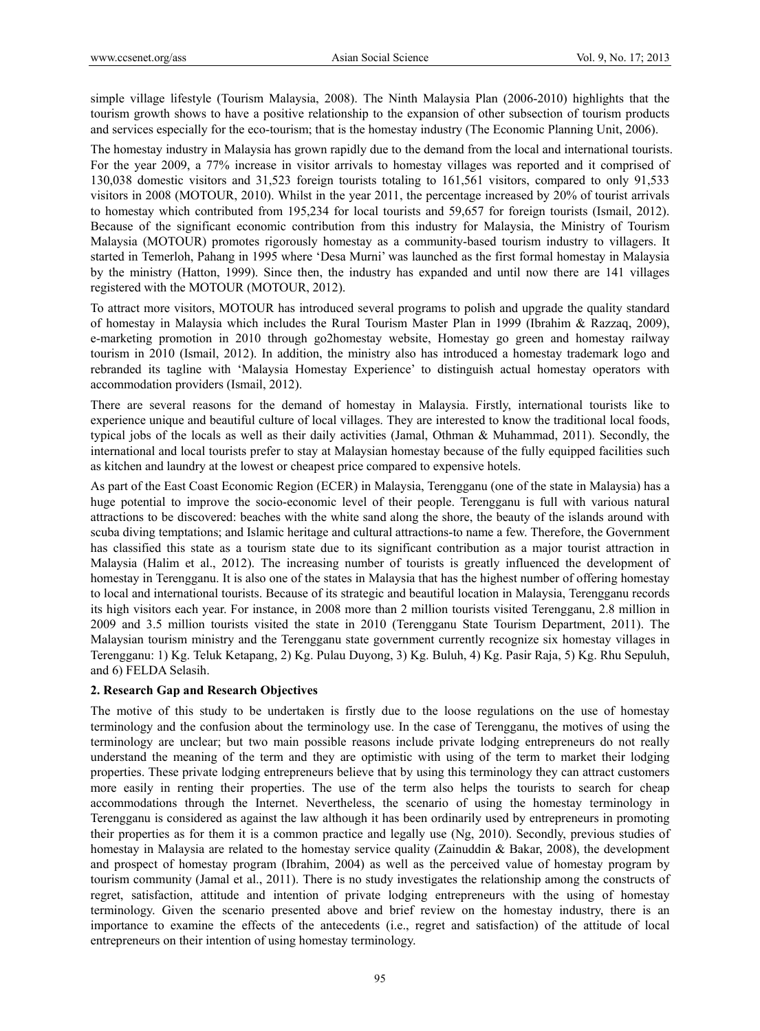simple village lifestyle (Tourism Malaysia, 2008). The Ninth Malaysia Plan (2006-2010) highlights that the tourism growth shows to have a positive relationship to the expansion of other subsection of tourism products and services especially for the eco-tourism; that is the homestay industry (The Economic Planning Unit, 2006).

The homestay industry in Malaysia has grown rapidly due to the demand from the local and international tourists. For the year 2009, a 77% increase in visitor arrivals to homestay villages was reported and it comprised of 130,038 domestic visitors and 31,523 foreign tourists totaling to 161,561 visitors, compared to only 91,533 visitors in 2008 (MOTOUR, 2010). Whilst in the year 2011, the percentage increased by 20% of tourist arrivals to homestay which contributed from 195,234 for local tourists and 59,657 for foreign tourists (Ismail, 2012). Because of the significant economic contribution from this industry for Malaysia, the Ministry of Tourism Malaysia (MOTOUR) promotes rigorously homestay as a community-based tourism industry to villagers. It started in Temerloh, Pahang in 1995 where 'Desa Murni' was launched as the first formal homestay in Malaysia by the ministry (Hatton, 1999). Since then, the industry has expanded and until now there are 141 villages registered with the MOTOUR (MOTOUR, 2012).

To attract more visitors, MOTOUR has introduced several programs to polish and upgrade the quality standard of homestay in Malaysia which includes the Rural Tourism Master Plan in 1999 (Ibrahim & Razzaq, 2009), e-marketing promotion in 2010 through go2homestay website, Homestay go green and homestay railway tourism in 2010 (Ismail, 2012). In addition, the ministry also has introduced a homestay trademark logo and rebranded its tagline with 'Malaysia Homestay Experience' to distinguish actual homestay operators with accommodation providers (Ismail, 2012).

There are several reasons for the demand of homestay in Malaysia. Firstly, international tourists like to experience unique and beautiful culture of local villages. They are interested to know the traditional local foods, typical jobs of the locals as well as their daily activities (Jamal, Othman & Muhammad, 2011). Secondly, the international and local tourists prefer to stay at Malaysian homestay because of the fully equipped facilities such as kitchen and laundry at the lowest or cheapest price compared to expensive hotels.

As part of the East Coast Economic Region (ECER) in Malaysia, Terengganu (one of the state in Malaysia) has a huge potential to improve the socio-economic level of their people. Terengganu is full with various natural attractions to be discovered: beaches with the white sand along the shore, the beauty of the islands around with scuba diving temptations; and Islamic heritage and cultural attractions-to name a few. Therefore, the Government has classified this state as a tourism state due to its significant contribution as a major tourist attraction in Malaysia (Halim et al., 2012). The increasing number of tourists is greatly influenced the development of homestay in Terengganu. It is also one of the states in Malaysia that has the highest number of offering homestay to local and international tourists. Because of its strategic and beautiful location in Malaysia, Terengganu records its high visitors each year. For instance, in 2008 more than 2 million tourists visited Terengganu, 2.8 million in 2009 and 3.5 million tourists visited the state in 2010 (Terengganu State Tourism Department, 2011). The Malaysian tourism ministry and the Terengganu state government currently recognize six homestay villages in Terengganu: 1) Kg. Teluk Ketapang, 2) Kg. Pulau Duyong, 3) Kg. Buluh, 4) Kg. Pasir Raja, 5) Kg. Rhu Sepuluh, and 6) FELDA Selasih.

# **2. Research Gap and Research Objectives**

The motive of this study to be undertaken is firstly due to the loose regulations on the use of homestay terminology and the confusion about the terminology use. In the case of Terengganu, the motives of using the terminology are unclear; but two main possible reasons include private lodging entrepreneurs do not really understand the meaning of the term and they are optimistic with using of the term to market their lodging properties. These private lodging entrepreneurs believe that by using this terminology they can attract customers more easily in renting their properties. The use of the term also helps the tourists to search for cheap accommodations through the Internet. Nevertheless, the scenario of using the homestay terminology in Terengganu is considered as against the law although it has been ordinarily used by entrepreneurs in promoting their properties as for them it is a common practice and legally use (Ng, 2010). Secondly, previous studies of homestay in Malaysia are related to the homestay service quality (Zainuddin & Bakar, 2008), the development and prospect of homestay program (Ibrahim, 2004) as well as the perceived value of homestay program by tourism community (Jamal et al., 2011). There is no study investigates the relationship among the constructs of regret, satisfaction, attitude and intention of private lodging entrepreneurs with the using of homestay terminology. Given the scenario presented above and brief review on the homestay industry, there is an importance to examine the effects of the antecedents (i.e., regret and satisfaction) of the attitude of local entrepreneurs on their intention of using homestay terminology.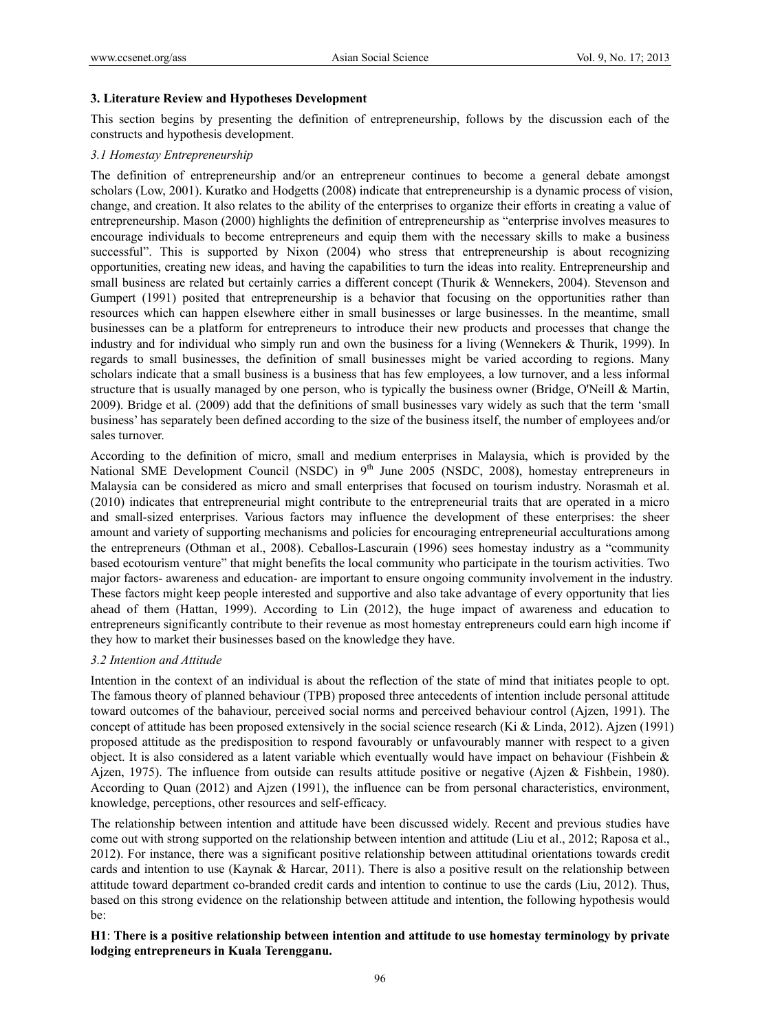## **3. Literature Review and Hypotheses Development**

This section begins by presenting the definition of entrepreneurship, follows by the discussion each of the constructs and hypothesis development.

## *3.1 Homestay Entrepreneurship*

The definition of entrepreneurship and/or an entrepreneur continues to become a general debate amongst scholars (Low, 2001). Kuratko and Hodgetts (2008) indicate that entrepreneurship is a dynamic process of vision, change, and creation. It also relates to the ability of the enterprises to organize their efforts in creating a value of entrepreneurship. Mason (2000) highlights the definition of entrepreneurship as "enterprise involves measures to encourage individuals to become entrepreneurs and equip them with the necessary skills to make a business successful". This is supported by Nixon (2004) who stress that entrepreneurship is about recognizing opportunities, creating new ideas, and having the capabilities to turn the ideas into reality. Entrepreneurship and small business are related but certainly carries a different concept (Thurik & Wennekers, 2004). Stevenson and Gumpert (1991) posited that entrepreneurship is a behavior that focusing on the opportunities rather than resources which can happen elsewhere either in small businesses or large businesses. In the meantime, small businesses can be a platform for entrepreneurs to introduce their new products and processes that change the industry and for individual who simply run and own the business for a living (Wennekers  $\&$  Thurik, 1999). In regards to small businesses, the definition of small businesses might be varied according to regions. Many scholars indicate that a small business is a business that has few employees, a low turnover, and a less informal structure that is usually managed by one person, who is typically the business owner (Bridge, O'Neill & Martin, 2009). Bridge et al. (2009) add that the definitions of small businesses vary widely as such that the term 'small business' has separately been defined according to the size of the business itself, the number of employees and/or sales turnover.

According to the definition of micro, small and medium enterprises in Malaysia, which is provided by the National SME Development Council (NSDC) in 9<sup>th</sup> June 2005 (NSDC, 2008), homestay entrepreneurs in Malaysia can be considered as micro and small enterprises that focused on tourism industry. Norasmah et al. (2010) indicates that entrepreneurial might contribute to the entrepreneurial traits that are operated in a micro and small-sized enterprises. Various factors may influence the development of these enterprises: the sheer amount and variety of supporting mechanisms and policies for encouraging entrepreneurial acculturations among the entrepreneurs (Othman et al., 2008). Ceballos-Lascurain (1996) sees homestay industry as a "community based ecotourism venture" that might benefits the local community who participate in the tourism activities. Two major factors- awareness and education- are important to ensure ongoing community involvement in the industry. These factors might keep people interested and supportive and also take advantage of every opportunity that lies ahead of them (Hattan, 1999). According to Lin (2012), the huge impact of awareness and education to entrepreneurs significantly contribute to their revenue as most homestay entrepreneurs could earn high income if they how to market their businesses based on the knowledge they have.

## *3.2 Intention and Attitude*

Intention in the context of an individual is about the reflection of the state of mind that initiates people to opt. The famous theory of planned behaviour (TPB) proposed three antecedents of intention include personal attitude toward outcomes of the bahaviour, perceived social norms and perceived behaviour control (Ajzen, 1991). The concept of attitude has been proposed extensively in the social science research (Ki & Linda, 2012). Ajzen (1991) proposed attitude as the predisposition to respond favourably or unfavourably manner with respect to a given object. It is also considered as a latent variable which eventually would have impact on behaviour (Fishbein & Ajzen, 1975). The influence from outside can results attitude positive or negative (Ajzen & Fishbein, 1980). According to Quan (2012) and Ajzen (1991), the influence can be from personal characteristics, environment, knowledge, perceptions, other resources and self-efficacy.

The relationship between intention and attitude have been discussed widely. Recent and previous studies have come out with strong supported on the relationship between intention and attitude (Liu et al., 2012; Raposa et al., 2012). For instance, there was a significant positive relationship between attitudinal orientations towards credit cards and intention to use (Kaynak & Harcar, 2011). There is also a positive result on the relationship between attitude toward department co-branded credit cards and intention to continue to use the cards (Liu, 2012). Thus, based on this strong evidence on the relationship between attitude and intention, the following hypothesis would be:

# **H1**: **There is a positive relationship between intention and attitude to use homestay terminology by private lodging entrepreneurs in Kuala Terengganu.**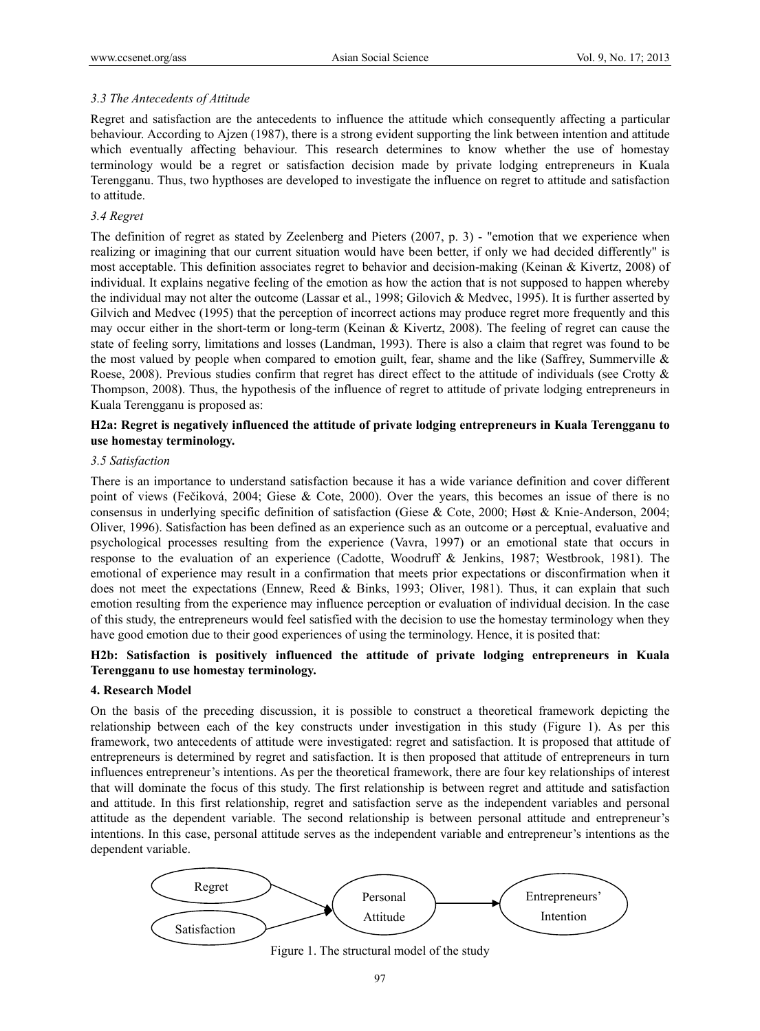## *3.3 The Antecedents of Attitude*

Regret and satisfaction are the antecedents to influence the attitude which consequently affecting a particular behaviour. According to Ajzen (1987), there is a strong evident supporting the link between intention and attitude which eventually affecting behaviour. This research determines to know whether the use of homestay terminology would be a regret or satisfaction decision made by private lodging entrepreneurs in Kuala Terengganu. Thus, two hypthoses are developed to investigate the influence on regret to attitude and satisfaction to attitude.

## *3.4 Regret*

The definition of regret as stated by Zeelenberg and Pieters (2007, p. 3) - "emotion that we experience when realizing or imagining that our current situation would have been better, if only we had decided differently" is most acceptable. This definition associates regret to behavior and decision-making (Keinan & Kivertz, 2008) of individual. It explains negative feeling of the emotion as how the action that is not supposed to happen whereby the individual may not alter the outcome (Lassar et al., 1998; Gilovich & Medvec, 1995). It is further asserted by Gilvich and Medvec (1995) that the perception of incorrect actions may produce regret more frequently and this may occur either in the short-term or long-term (Keinan & Kivertz, 2008). The feeling of regret can cause the state of feeling sorry, limitations and losses (Landman, 1993). There is also a claim that regret was found to be the most valued by people when compared to emotion guilt, fear, shame and the like (Saffrey, Summerville  $\&$ Roese, 2008). Previous studies confirm that regret has direct effect to the attitude of individuals (see Crotty & Thompson, 2008). Thus, the hypothesis of the influence of regret to attitude of private lodging entrepreneurs in Kuala Terengganu is proposed as:

## **H2a: Regret is negatively influenced the attitude of private lodging entrepreneurs in Kuala Terengganu to use homestay terminology.**

## *3.5 Satisfaction*

There is an importance to understand satisfaction because it has a wide variance definition and cover different point of views (Fečiková, 2004; Giese & Cote, 2000). Over the years, this becomes an issue of there is no consensus in underlying specific definition of satisfaction (Giese & Cote, 2000; Høst & Knie-Anderson, 2004; Oliver, 1996). Satisfaction has been defined as an experience such as an outcome or a perceptual, evaluative and psychological processes resulting from the experience (Vavra, 1997) or an emotional state that occurs in response to the evaluation of an experience (Cadotte, Woodruff & Jenkins, 1987; Westbrook, 1981). The emotional of experience may result in a confirmation that meets prior expectations or disconfirmation when it does not meet the expectations (Ennew, Reed & Binks, 1993; Oliver, 1981). Thus, it can explain that such emotion resulting from the experience may influence perception or evaluation of individual decision. In the case of this study, the entrepreneurs would feel satisfied with the decision to use the homestay terminology when they have good emotion due to their good experiences of using the terminology. Hence, it is posited that:

# **H2b: Satisfaction is positively influenced the attitude of private lodging entrepreneurs in Kuala Terengganu to use homestay terminology.**

## **4. Research Model**

On the basis of the preceding discussion, it is possible to construct a theoretical framework depicting the relationship between each of the key constructs under investigation in this study (Figure 1). As per this framework, two antecedents of attitude were investigated: regret and satisfaction. It is proposed that attitude of entrepreneurs is determined by regret and satisfaction. It is then proposed that attitude of entrepreneurs in turn influences entrepreneur's intentions. As per the theoretical framework, there are four key relationships of interest that will dominate the focus of this study. The first relationship is between regret and attitude and satisfaction and attitude. In this first relationship, regret and satisfaction serve as the independent variables and personal attitude as the dependent variable. The second relationship is between personal attitude and entrepreneur's intentions. In this case, personal attitude serves as the independent variable and entrepreneur's intentions as the dependent variable.



Figure 1. The structural model of the study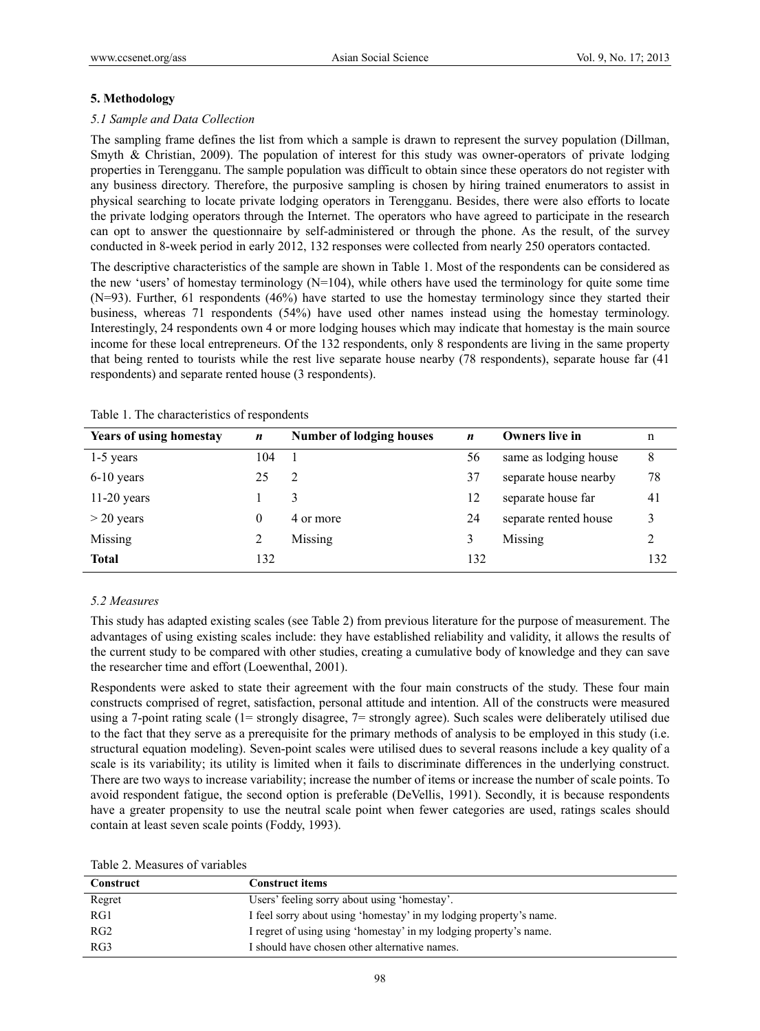## **5. Methodology**

## *5.1 Sample and Data Collection*

The sampling frame defines the list from which a sample is drawn to represent the survey population (Dillman, Smyth & Christian, 2009). The population of interest for this study was owner-operators of private lodging properties in Terengganu. The sample population was difficult to obtain since these operators do not register with any business directory. Therefore, the purposive sampling is chosen by hiring trained enumerators to assist in physical searching to locate private lodging operators in Terengganu. Besides, there were also efforts to locate the private lodging operators through the Internet. The operators who have agreed to participate in the research can opt to answer the questionnaire by self-administered or through the phone. As the result, of the survey conducted in 8-week period in early 2012, 132 responses were collected from nearly 250 operators contacted.

The descriptive characteristics of the sample are shown in Table 1. Most of the respondents can be considered as the new 'users' of homestay terminology ( $N=104$ ), while others have used the terminology for quite some time (N=93). Further, 61 respondents (46%) have started to use the homestay terminology since they started their business, whereas 71 respondents (54%) have used other names instead using the homestay terminology. Interestingly, 24 respondents own 4 or more lodging houses which may indicate that homestay is the main source income for these local entrepreneurs. Of the 132 respondents, only 8 respondents are living in the same property that being rented to tourists while the rest live separate house nearby (78 respondents), separate house far (41 respondents) and separate rented house (3 respondents).

| $\boldsymbol{n}$ | <b>Number of lodging houses</b> | $\boldsymbol{n}$ | <b>Owners</b> live in | n   |
|------------------|---------------------------------|------------------|-----------------------|-----|
| 104              |                                 | 56               | same as lodging house | 8   |
| 25               | 2                               | 37               | separate house nearby | 78  |
|                  | 3                               | 12               | separate house far    | 41  |
| $\theta$         | 4 or more                       | 24               | separate rented house | 3   |
|                  | Missing                         | 3                | Missing               |     |
| 132              |                                 | 132              |                       | 132 |
|                  |                                 |                  |                       |     |

Table 1. The characteristics of respondents

## *5.2 Measures*

This study has adapted existing scales (see Table 2) from previous literature for the purpose of measurement. The advantages of using existing scales include: they have established reliability and validity, it allows the results of the current study to be compared with other studies, creating a cumulative body of knowledge and they can save the researcher time and effort (Loewenthal, 2001).

Respondents were asked to state their agreement with the four main constructs of the study. These four main constructs comprised of regret, satisfaction, personal attitude and intention. All of the constructs were measured using a 7-point rating scale (1= strongly disagree, 7= strongly agree). Such scales were deliberately utilised due to the fact that they serve as a prerequisite for the primary methods of analysis to be employed in this study (i.e. structural equation modeling). Seven-point scales were utilised dues to several reasons include a key quality of a scale is its variability; its utility is limited when it fails to discriminate differences in the underlying construct. There are two ways to increase variability; increase the number of items or increase the number of scale points. To avoid respondent fatigue, the second option is preferable (DeVellis, 1991). Secondly, it is because respondents have a greater propensity to use the neutral scale point when fewer categories are used, ratings scales should contain at least seven scale points (Foddy, 1993).

| Table 2. Measures of variables |  |  |  |
|--------------------------------|--|--|--|
|--------------------------------|--|--|--|

| Construct | Construct items                                                    |
|-----------|--------------------------------------------------------------------|
| Regret    | Users' feeling sorry about using 'homestay'.                       |
| RG1       | I feel sorry about using 'homestay' in my lodging property's name. |
| RG2       | I regret of using using 'homestay' in my lodging property's name.  |
| RG3       | I should have chosen other alternative names.                      |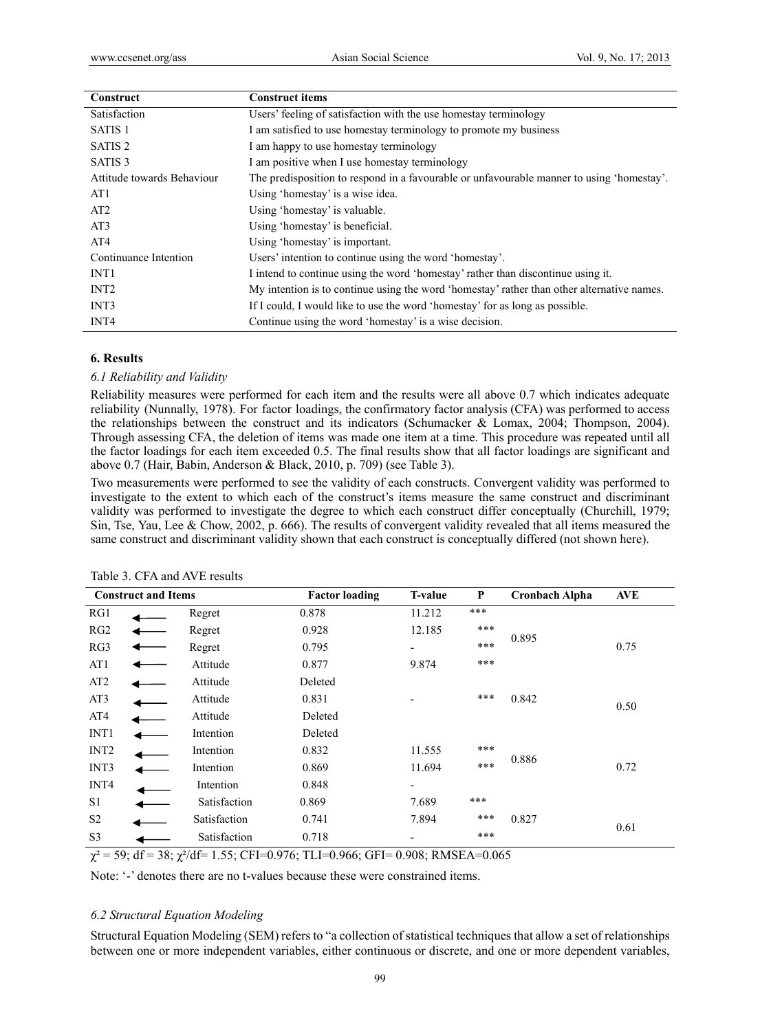| Construct                  | <b>Construct items</b>                                                                     |
|----------------------------|--------------------------------------------------------------------------------------------|
| Satisfaction               | Users' feeling of satisfaction with the use homestay terminology                           |
| SATIS <sub>1</sub>         | I am satisfied to use homestay terminology to promote my business                          |
| SATIS <sub>2</sub>         | I am happy to use homestay terminology                                                     |
| SATIS <sub>3</sub>         | I am positive when I use homestay terminology                                              |
| Attitude towards Behaviour | The predisposition to respond in a favourable or unfavourable manner to using 'homestay'.  |
| AT1                        | Using 'homestay' is a wise idea.                                                           |
| AT2                        | Using 'homestay' is valuable.                                                              |
| AT3                        | Using 'homestay' is beneficial.                                                            |
| AT4                        | Using 'homestay' is important.                                                             |
| Continuance Intention      | Users' intention to continue using the word 'homestay'.                                    |
| INT <sub>1</sub>           | I intend to continue using the word 'homestay' rather than discontinue using it.           |
| INT <sub>2</sub>           | My intention is to continue using the word 'homestay' rather than other alternative names. |
| INT3                       | If I could, I would like to use the word 'homestay' for as long as possible.               |
| INT <sub>4</sub>           | Continue using the word 'homestay' is a wise decision.                                     |

#### **6. Results**

#### *6.1 Reliability and Validity*

Reliability measures were performed for each item and the results were all above 0.7 which indicates adequate reliability (Nunnally, 1978). For factor loadings, the confirmatory factor analysis (CFA) was performed to access the relationships between the construct and its indicators (Schumacker & Lomax, 2004; Thompson, 2004). Through assessing CFA, the deletion of items was made one item at a time. This procedure was repeated until all the factor loadings for each item exceeded 0.5. The final results show that all factor loadings are significant and above 0.7 (Hair, Babin, Anderson & Black, 2010, p. 709) (see Table 3).

Two measurements were performed to see the validity of each constructs. Convergent validity was performed to investigate to the extent to which each of the construct's items measure the same construct and discriminant validity was performed to investigate the degree to which each construct differ conceptually (Churchill, 1979; Sin, Tse, Yau, Lee & Chow, 2002, p. 666). The results of convergent validity revealed that all items measured the same construct and discriminant validity shown that each construct is conceptually differed (not shown here).

|                  | <b>Construct and Items</b> |              | <b>Factor loading</b> | <b>T-value</b> | P   | <b>Cronbach Alpha</b> | <b>AVE</b> |
|------------------|----------------------------|--------------|-----------------------|----------------|-----|-----------------------|------------|
| RG1              |                            | Regret       | 0.878                 | 11.212         | *** |                       |            |
| RG2              |                            | Regret       | 0.928                 | 12.185         | *** |                       |            |
| RG3              |                            | Regret       | 0.795                 | -              | *** | 0.895                 | 0.75       |
| AT1              |                            | Attitude     | 0.877                 | 9.874          | *** |                       |            |
| AT <sub>2</sub>  |                            | Attitude     | Deleted               |                |     |                       |            |
| AT3              |                            | Attitude     | 0.831                 |                | *** | 0.842                 | 0.50       |
| AT4              |                            | Attitude     | Deleted               |                |     |                       |            |
| INT <sub>1</sub> |                            | Intention    | Deleted               |                |     |                       |            |
| INT <sub>2</sub> |                            | Intention    | 0.832                 | 11.555         | *** | 0.886                 |            |
| INT3             |                            | Intention    | 0.869                 | 11.694         | *** |                       | 0.72       |
| INT4             |                            | Intention    | 0.848                 | -              |     |                       |            |
| S1               |                            | Satisfaction | 0.869                 | 7.689          | *** |                       |            |
| S <sub>2</sub>   |                            | Satisfaction | 0.741                 | 7.894          | *** | 0.827                 | 0.61       |
| S <sub>3</sub>   |                            | Satisfaction | 0.718                 | ٠              | *** |                       |            |

|  |  |  | Table 3. CFA and AVE results |  |
|--|--|--|------------------------------|--|
|--|--|--|------------------------------|--|

 $\chi^2$  = 59; df = 38;  $\chi^2$ /df = 1.55; CFI=0.976; TLI=0.966; GFI= 0.908; RMSEA=0.065

Note: '-' denotes there are no t-values because these were constrained items.

#### *6.2 Structural Equation Modeling*

Structural Equation Modeling (SEM) refers to "a collection of statistical techniques that allow a set of relationships between one or more independent variables, either continuous or discrete, and one or more dependent variables,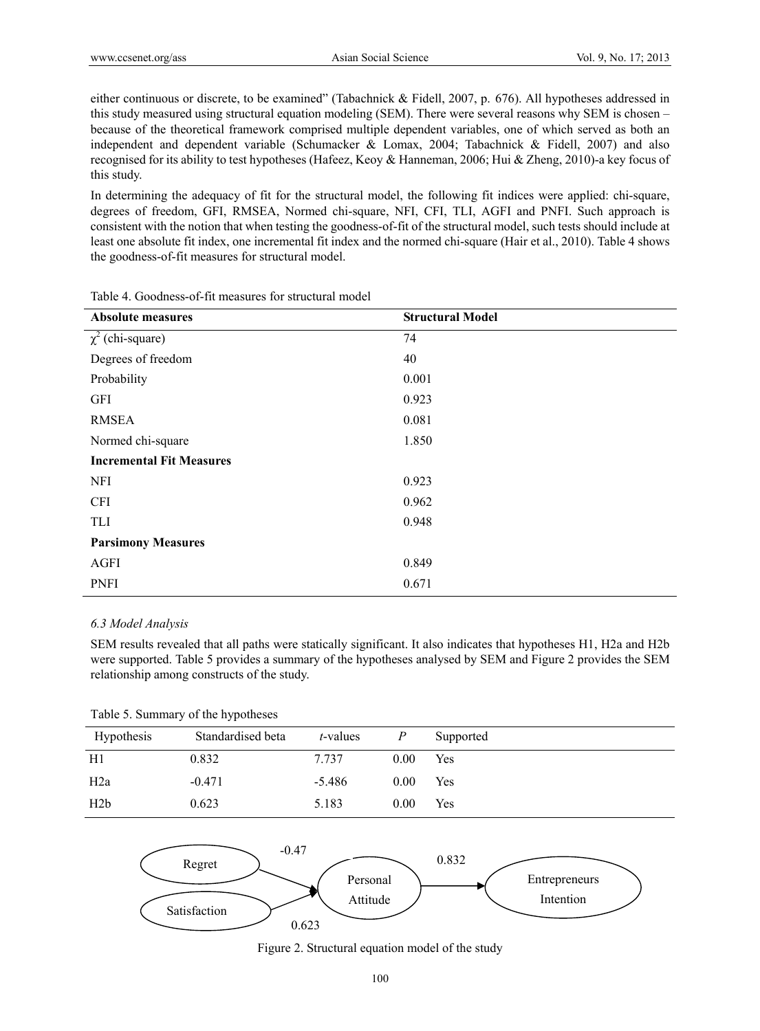either continuous or discrete, to be examined" (Tabachnick & Fidell, 2007, p. 676). All hypotheses addressed in this study measured using structural equation modeling (SEM). There were several reasons why SEM is chosen – because of the theoretical framework comprised multiple dependent variables, one of which served as both an independent and dependent variable (Schumacker & Lomax, 2004; Tabachnick & Fidell, 2007) and also recognised for its ability to test hypotheses (Hafeez, Keoy & Hanneman, 2006; Hui & Zheng, 2010)-a key focus of this study.

In determining the adequacy of fit for the structural model, the following fit indices were applied: chi-square, degrees of freedom, GFI, RMSEA, Normed chi-square, NFI, CFI, TLI, AGFI and PNFI. Such approach is consistent with the notion that when testing the goodness-of-fit of the structural model, such tests should include at least one absolute fit index, one incremental fit index and the normed chi-square (Hair et al., 2010). Table 4 shows the goodness-of-fit measures for structural model.

| <b>Absolute measures</b>        | <b>Structural Model</b> |
|---------------------------------|-------------------------|
| $\chi^2$ (chi-square)           | 74                      |
| Degrees of freedom              | 40                      |
| Probability                     | 0.001                   |
| <b>GFI</b>                      | 0.923                   |
| <b>RMSEA</b>                    | 0.081                   |
| Normed chi-square               | 1.850                   |
| <b>Incremental Fit Measures</b> |                         |
| <b>NFI</b>                      | 0.923                   |
| <b>CFI</b>                      | 0.962                   |
| TLI                             | 0.948                   |
| <b>Parsimony Measures</b>       |                         |
| <b>AGFI</b>                     | 0.849                   |
| <b>PNFI</b>                     | 0.671                   |

Table 4. Goodness-of-fit measures for structural model

## *6.3 Model Analysis*

SEM results revealed that all paths were statically significant. It also indicates that hypotheses H1, H2a and H2b were supported. Table 5 provides a summary of the hypotheses analysed by SEM and Figure 2 provides the SEM relationship among constructs of the study.

## Table 5. Summary of the hypotheses

| Hypothesis       | Standardised beta | $t$ -values |      | Supported |
|------------------|-------------------|-------------|------|-----------|
| H1               | 0.832             | 7.737       | 0.00 | Yes       |
| H <sub>2</sub> a | $-0.471$          | $-5.486$    | 0.00 | Yes       |
| H2b              | 0.623             | 5.183       | 0.00 | Yes       |



Figure 2. Structural equation model of the study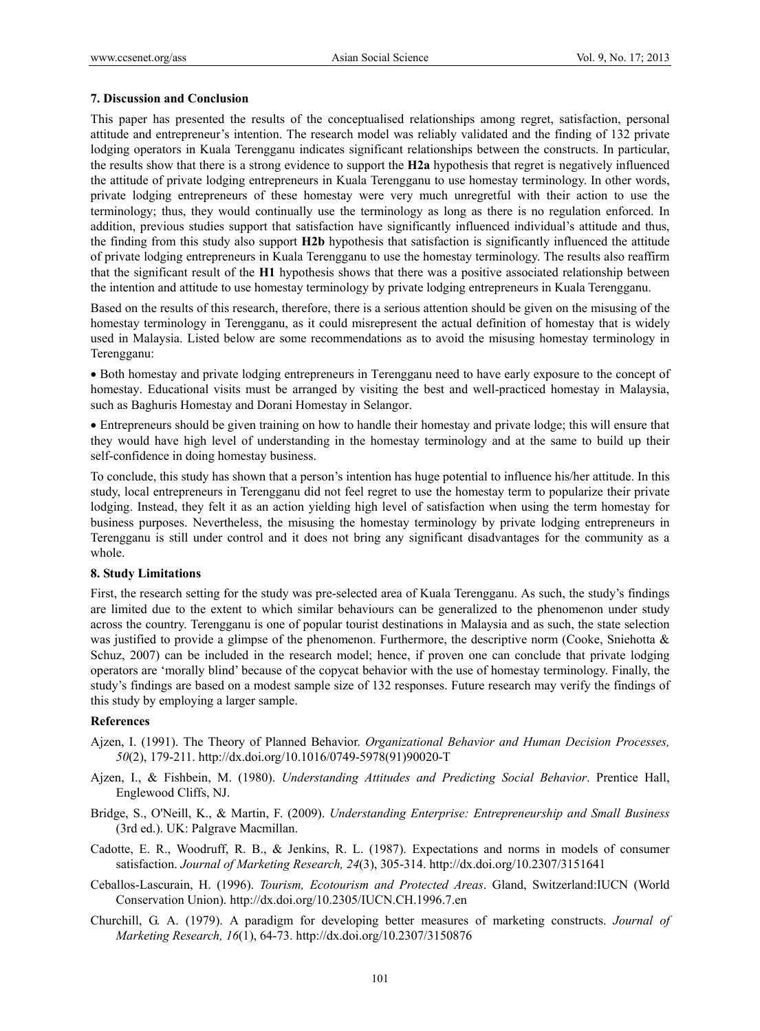#### **7. Discussion and Conclusion**

This paper has presented the results of the conceptualised relationships among regret, satisfaction, personal attitude and entrepreneur's intention. The research model was reliably validated and the finding of 132 private lodging operators in Kuala Terengganu indicates significant relationships between the constructs. In particular, the results show that there is a strong evidence to support the **H2a** hypothesis that regret is negatively influenced the attitude of private lodging entrepreneurs in Kuala Terengganu to use homestay terminology. In other words, private lodging entrepreneurs of these homestay were very much unregretful with their action to use the terminology; thus, they would continually use the terminology as long as there is no regulation enforced. In addition, previous studies support that satisfaction have significantly influenced individual's attitude and thus, the finding from this study also support **H2b** hypothesis that satisfaction is significantly influenced the attitude of private lodging entrepreneurs in Kuala Terengganu to use the homestay terminology. The results also reaffirm that the significant result of the **H1** hypothesis shows that there was a positive associated relationship between the intention and attitude to use homestay terminology by private lodging entrepreneurs in Kuala Terengganu.

Based on the results of this research, therefore, there is a serious attention should be given on the misusing of the homestay terminology in Terengganu, as it could misrepresent the actual definition of homestay that is widely used in Malaysia. Listed below are some recommendations as to avoid the misusing homestay terminology in Terengganu:

 Both homestay and private lodging entrepreneurs in Terengganu need to have early exposure to the concept of homestay. Educational visits must be arranged by visiting the best and well-practiced homestay in Malaysia, such as Baghuris Homestay and Dorani Homestay in Selangor.

 Entrepreneurs should be given training on how to handle their homestay and private lodge; this will ensure that they would have high level of understanding in the homestay terminology and at the same to build up their self-confidence in doing homestay business.

To conclude, this study has shown that a person's intention has huge potential to influence his/her attitude. In this study, local entrepreneurs in Terengganu did not feel regret to use the homestay term to popularize their private lodging. Instead, they felt it as an action yielding high level of satisfaction when using the term homestay for business purposes. Nevertheless, the misusing the homestay terminology by private lodging entrepreneurs in Terengganu is still under control and it does not bring any significant disadvantages for the community as a whole.

#### **8. Study Limitations**

First, the research setting for the study was pre-selected area of Kuala Terengganu. As such, the study's findings are limited due to the extent to which similar behaviours can be generalized to the phenomenon under study across the country. Terengganu is one of popular tourist destinations in Malaysia and as such, the state selection was justified to provide a glimpse of the phenomenon. Furthermore, the descriptive norm (Cooke, Sniehotta  $\&$ Schuz, 2007) can be included in the research model; hence, if proven one can conclude that private lodging operators are 'morally blind' because of the copycat behavior with the use of homestay terminology. Finally, the study's findings are based on a modest sample size of 132 responses. Future research may verify the findings of this study by employing a larger sample.

#### **References**

- Ajzen, I. (1991). The Theory of Planned Behavior. *Organizational Behavior and Human Decision Processes, 50*(2), 179-211. http://dx.doi.org/10.1016/0749-5978(91)90020-T
- Ajzen, I., & Fishbein, M. (1980). *Understanding Attitudes and Predicting Social Behavior*. Prentice Hall, Englewood Cliffs, NJ.
- Bridge, S., O'Neill, K., & Martin, F. (2009). *Understanding Enterprise: Entrepreneurship and Small Business* (3rd ed.). UK: Palgrave Macmillan.
- Cadotte, E. R., Woodruff, R. B., & Jenkins, R. L. (1987). Expectations and norms in models of consumer satisfaction. *Journal of Marketing Research, 24*(3), 305-314. http://dx.doi.org/10.2307/3151641
- Ceballos-Lascurain, H. (1996). *Tourism, Ecotourism and Protected Areas*. Gland, Switzerland:IUCN (World Conservation Union). http://dx.doi.org/10.2305/IUCN.CH.1996.7.en
- Churchill, G. A. (1979). A paradigm for developing better measures of marketing constructs. *Journal of Marketing Research, 16*(1), 64-73. http://dx.doi.org/10.2307/3150876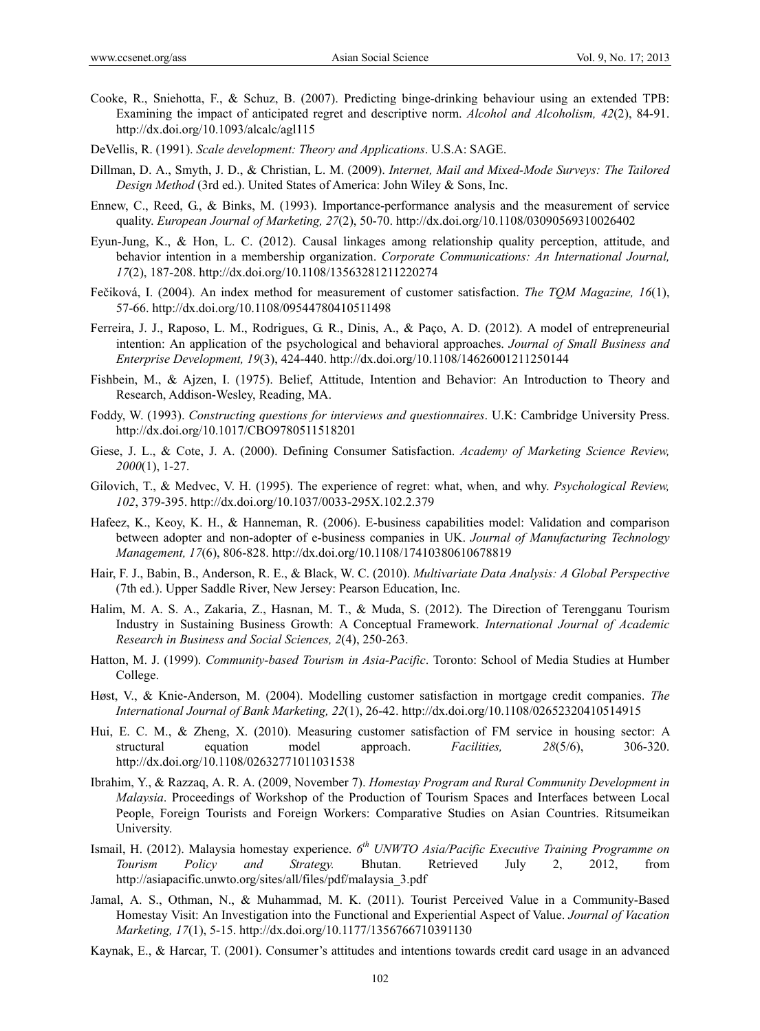- Cooke, R., Sniehotta, F., & Schuz, B. (2007). Predicting binge-drinking behaviour using an extended TPB: Examining the impact of anticipated regret and descriptive norm. *Alcohol and Alcoholism, 42*(2), 84-91. http://dx.doi.org/10.1093/alcalc/agl115
- DeVellis, R. (1991). *Scale development: Theory and Applications*. U.S.A: SAGE.
- Dillman, D. A., Smyth, J. D., & Christian, L. M. (2009). *Internet, Mail and Mixed-Mode Surveys: The Tailored Design Method* (3rd ed.). United States of America: John Wiley & Sons, Inc.
- Ennew, C., Reed, G., & Binks, M. (1993). Importance-performance analysis and the measurement of service quality. *European Journal of Marketing, 27*(2), 50-70. http://dx.doi.org/10.1108/03090569310026402
- Eyun-Jung, K., & Hon, L. C. (2012). Causal linkages among relationship quality perception, attitude, and behavior intention in a membership organization. *Corporate Communications: An International Journal, 17*(2), 187-208. http://dx.doi.org/10.1108/13563281211220274
- Fečiková, I. (2004). An index method for measurement of customer satisfaction. *The TQM Magazine, 16*(1), 57-66. http://dx.doi.org/10.1108/09544780410511498
- Ferreira, J. J., Raposo, L. M., Rodrigues, G. R., Dinis, A., & Paço, A. D. (2012). A model of entrepreneurial intention: An application of the psychological and behavioral approaches. *Journal of Small Business and Enterprise Development, 19*(3), 424-440. http://dx.doi.org/10.1108/14626001211250144
- Fishbein, M., & Ajzen, I. (1975). Belief, Attitude, Intention and Behavior: An Introduction to Theory and Research, Addison-Wesley, Reading, MA.
- Foddy, W. (1993). *Constructing questions for interviews and questionnaires*. U.K: Cambridge University Press. http://dx.doi.org/10.1017/CBO9780511518201
- Giese, J. L., & Cote, J. A. (2000). Defining Consumer Satisfaction. *Academy of Marketing Science Review, 2000*(1), 1-27.
- Gilovich, T., & Medvec, V. H. (1995). The experience of regret: what, when, and why. *Psychological Review, 102*, 379-395. http://dx.doi.org/10.1037/0033-295X.102.2.379
- Hafeez, K., Keoy, K. H., & Hanneman, R. (2006). E-business capabilities model: Validation and comparison between adopter and non-adopter of e-business companies in UK. *Journal of Manufacturing Technology Management, 17*(6), 806-828. http://dx.doi.org/10.1108/17410380610678819
- Hair, F. J., Babin, B., Anderson, R. E., & Black, W. C. (2010). *Multivariate Data Analysis: A Global Perspective* (7th ed.). Upper Saddle River, New Jersey: Pearson Education, Inc.
- Halim, M. A. S. A., Zakaria, Z., Hasnan, M. T., & Muda, S. (2012). The Direction of Terengganu Tourism Industry in Sustaining Business Growth: A Conceptual Framework. *International Journal of Academic Research in Business and Social Sciences, 2*(4), 250-263.
- Hatton, M. J. (1999). *Community-based Tourism in Asia-Pacific*. Toronto: School of Media Studies at Humber College.
- Høst, V., & Knie-Anderson, M. (2004). Modelling customer satisfaction in mortgage credit companies. *The International Journal of Bank Marketing, 22*(1), 26-42. http://dx.doi.org/10.1108/02652320410514915
- Hui, E. C. M., & Zheng, X. (2010). Measuring customer satisfaction of FM service in housing sector: A structural equation model approach. *Facilities, 28*(5/6), 306-320. http://dx.doi.org/10.1108/02632771011031538
- Ibrahim, Y., & Razzaq, A. R. A. (2009, November 7). *Homestay Program and Rural Community Development in Malaysia*. Proceedings of Workshop of the Production of Tourism Spaces and Interfaces between Local People, Foreign Tourists and Foreign Workers: Comparative Studies on Asian Countries. Ritsumeikan University.
- Ismail, H. (2012). Malaysia homestay experience. *6th UNWTO Asia/Pacific Executive Training Programme on Tourism Policy and Strategy.* Bhutan. Retrieved July 2, 2012, from http://asiapacific.unwto.org/sites/all/files/pdf/malaysia\_3.pdf
- Jamal, A. S., Othman, N., & Muhammad, M. K. (2011). Tourist Perceived Value in a Community-Based Homestay Visit: An Investigation into the Functional and Experiential Aspect of Value. *Journal of Vacation Marketing, 17*(1), 5-15. http://dx.doi.org/10.1177/1356766710391130
- Kaynak, E., & Harcar, T. (2001). Consumer's attitudes and intentions towards credit card usage in an advanced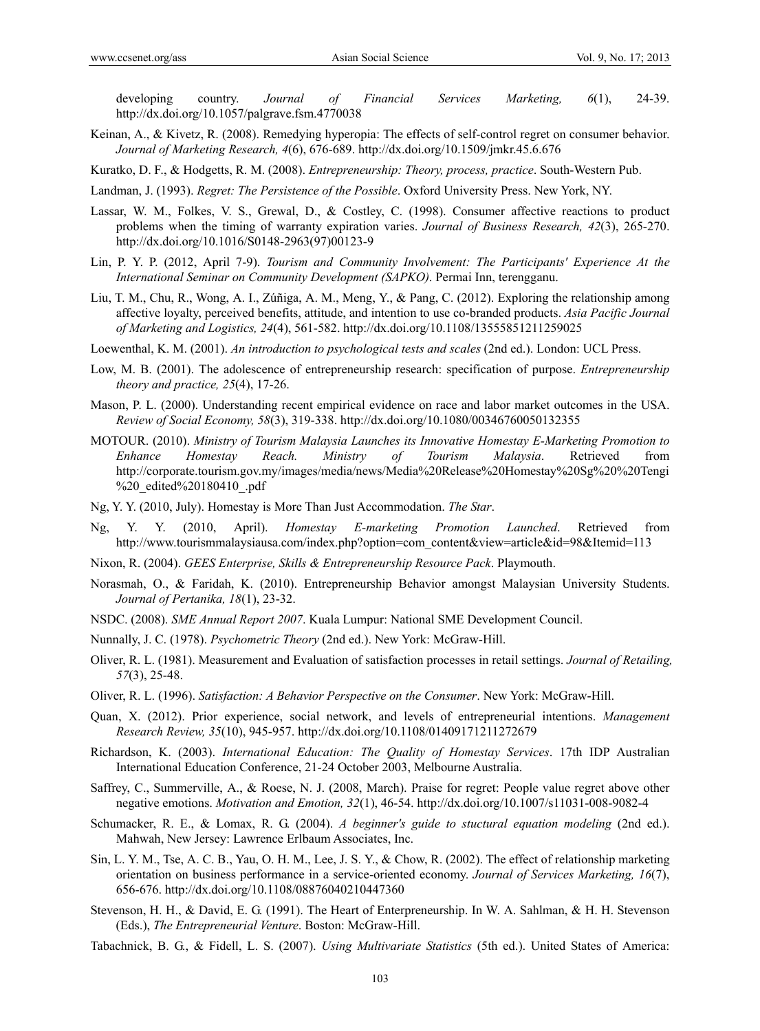developing country. *Journal of Financial Services Marketing, 6*(1), 24-39. http://dx.doi.org/10.1057/palgrave.fsm.4770038

Keinan, A., & Kivetz, R. (2008). Remedying hyperopia: The effects of self-control regret on consumer behavior. *Journal of Marketing Research, 4*(6), 676-689. http://dx.doi.org/10.1509/jmkr.45.6.676

Kuratko, D. F., & Hodgetts, R. M. (2008). *Entrepreneurship: Theory, process, practice*. South-Western Pub.

Landman, J. (1993). *Regret: The Persistence of the Possible*. Oxford University Press. New York, NY.

- Lassar, W. M., Folkes, V. S., Grewal, D., & Costley, C. (1998). Consumer affective reactions to product problems when the timing of warranty expiration varies. *Journal of Business Research, 42*(3), 265-270. http://dx.doi.org/10.1016/S0148-2963(97)00123-9
- Lin, P. Y. P. (2012, April 7-9). *Tourism and Community Involvement: The Participants' Experience At the International Seminar on Community Development (SAPKO)*. Permai Inn, terengganu.
- Liu, T. M., Chu, R., Wong, A. I., Zúñiga, A. M., Meng, Y., & Pang, C. (2012). Exploring the relationship among affective loyalty, perceived benefits, attitude, and intention to use co-branded products. *Asia Pacific Journal of Marketing and Logistics, 24*(4), 561-582. http://dx.doi.org/10.1108/13555851211259025
- Loewenthal, K. M. (2001). *An introduction to psychological tests and scales* (2nd ed.). London: UCL Press.
- Low, M. B. (2001). The adolescence of entrepreneurship research: specification of purpose. *Entrepreneurship theory and practice, 25*(4), 17-26.
- Mason, P. L. (2000). Understanding recent empirical evidence on race and labor market outcomes in the USA. *Review of Social Economy, 58*(3), 319-338. http://dx.doi.org/10.1080/00346760050132355
- MOTOUR. (2010). *Ministry of Tourism Malaysia Launches its Innovative Homestay E-Marketing Promotion to Enhance Homestay Reach. Ministry of Tourism Malaysia*. Retrieved from http://corporate.tourism.gov.my/images/media/news/Media%20Release%20Homestay%20Sg%20%20Tengi %20\_edited%20180410\_.pdf
- Ng, Y. Y. (2010, July). Homestay is More Than Just Accommodation. *The Star*.
- Ng, Y. Y. (2010, April). *Homestay E-marketing Promotion Launched*. Retrieved from http://www.tourismmalaysiausa.com/index.php?option=com\_content&view=article&id=98&Itemid=113
- Nixon, R. (2004). *GEES Enterprise, Skills & Entrepreneurship Resource Pack*. Playmouth.
- Norasmah, O., & Faridah, K. (2010). Entrepreneurship Behavior amongst Malaysian University Students. *Journal of Pertanika, 18*(1), 23-32.
- NSDC. (2008). *SME Annual Report 2007*. Kuala Lumpur: National SME Development Council.
- Nunnally, J. C. (1978). *Psychometric Theory* (2nd ed.). New York: McGraw-Hill.
- Oliver, R. L. (1981). Measurement and Evaluation of satisfaction processes in retail settings. *Journal of Retailing, 57*(3), 25-48.
- Oliver, R. L. (1996). *Satisfaction: A Behavior Perspective on the Consumer*. New York: McGraw-Hill.
- Quan, X. (2012). Prior experience, social network, and levels of entrepreneurial intentions. *Management Research Review, 35*(10), 945-957. http://dx.doi.org/10.1108/01409171211272679
- Richardson, K. (2003). *International Education: The Quality of Homestay Services*. 17th IDP Australian International Education Conference, 21-24 October 2003, Melbourne Australia.
- Saffrey, C., Summerville, A., & Roese, N. J. (2008, March). Praise for regret: People value regret above other negative emotions. *Motivation and Emotion, 32*(1), 46-54. http://dx.doi.org/10.1007/s11031-008-9082-4
- Schumacker, R. E., & Lomax, R. G. (2004). *A beginner's guide to stuctural equation modeling* (2nd ed.). Mahwah, New Jersey: Lawrence Erlbaum Associates, Inc.
- Sin, L. Y. M., Tse, A. C. B., Yau, O. H. M., Lee, J. S. Y., & Chow, R. (2002). The effect of relationship marketing orientation on business performance in a service-oriented economy. *Journal of Services Marketing, 16*(7), 656-676. http://dx.doi.org/10.1108/08876040210447360
- Stevenson, H. H., & David, E. G. (1991). The Heart of Enterpreneurship. In W. A. Sahlman, & H. H. Stevenson (Eds.), *The Entrepreneurial Venture*. Boston: McGraw-Hill.
- Tabachnick, B. G., & Fidell, L. S. (2007). *Using Multivariate Statistics* (5th ed.). United States of America: